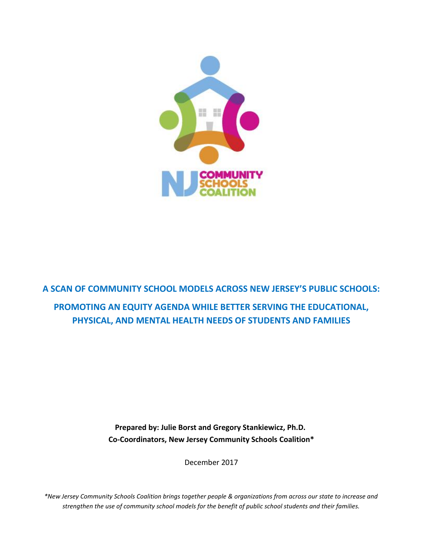

**A SCAN OF COMMUNITY SCHOOL MODELS ACROSS NEW JERSEY'S PUBLIC SCHOOLS: PROMOTING AN EQUITY AGENDA WHILE BETTER SERVING THE EDUCATIONAL, PHYSICAL, AND MENTAL HEALTH NEEDS OF STUDENTS AND FAMILIES**

> **Prepared by: Julie Borst and Gregory Stankiewicz, Ph.D. Co-Coordinators, New Jersey Community Schools Coalition\***

> > December 2017

*\*New Jersey Community Schools Coalition brings together people & organizations from across our state to increase and strengthen the use of community school models for the benefit of public school students and their families.*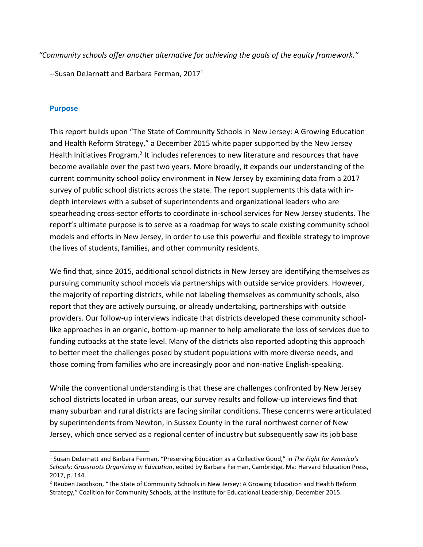*"Community schools offer another alternative for achieving the goals of the equity framework."*

--Susan DeJarnatt and Barbara Ferman, 2017<sup>1</sup>

### **Purpose**

This report builds upon "The State of Community Schools in New Jersey: A Growing Education and Health Reform Strategy," a December 2015 white paper supported by the New Jersey Health Initiatives Program.<sup>2</sup> It includes references to new literature and resources that have become available over the past two years. More broadly, it expands our understanding of the current community school policy environment in New Jersey by examining data from a 2017 survey of public school districts across the state. The report supplements this data with indepth interviews with a subset of superintendents and organizational leaders who are spearheading cross-sector efforts to coordinate in-school services for New Jersey students. The report's ultimate purpose is to serve as a roadmap for ways to scale existing community school models and efforts in New Jersey, in order to use this powerful and flexible strategy to improve the lives of students, families, and other community residents.

We find that, since 2015, additional school districts in New Jersey are identifying themselves as pursuing community school models via partnerships with outside service providers. However, the majority of reporting districts, while not labeling themselves as community schools, also report that they are actively pursuing, or already undertaking, partnerships with outside providers. Our follow-up interviews indicate that districts developed these community schoollike approaches in an organic, bottom-up manner to help ameliorate the loss of services due to funding cutbacks at the state level. Many of the districts also reported adopting this approach to better meet the challenges posed by student populations with more diverse needs, and those coming from families who are increasingly poor and non-native English-speaking.

While the conventional understanding is that these are challenges confronted by New Jersey school districts located in urban areas, our survey results and follow-up interviews find that many suburban and rural districts are facing similar conditions. These concerns were articulated by superintendents from Newton, in Sussex County in the rural northwest corner of New Jersey, which once served as a regional center of industry but subsequently saw its job base

<sup>1</sup> Susan DeJarnatt and Barbara Ferman, "Preserving Education as a Collective Good," in *The Fight for America's Schools: Grassroots Organizing in Education*, edited by Barbara Ferman, Cambridge, Ma: Harvard Education Press, 2017, p. 144.

<sup>&</sup>lt;sup>2</sup> Reuben Jacobson, "The State of Community Schools in New Jersey: A Growing Education and Health Reform Strategy," Coalition for Community Schools, at the Institute for Educational Leadership, December 2015.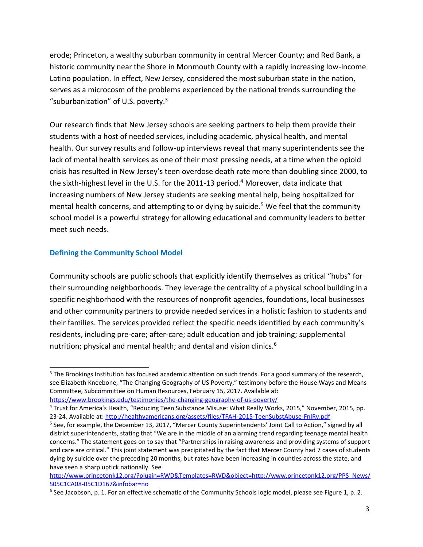erode; Princeton, a wealthy suburban community in central Mercer County; and Red Bank, a historic community near the Shore in Monmouth County with a rapidly increasing low-income Latino population. In effect, New Jersey, considered the most suburban state in the nation, serves as a microcosm of the problems experienced by the national trends surrounding the "suburbanization" of U.S. poverty. $3$ 

Our research finds that New Jersey schools are seeking partners to help them provide their students with a host of needed services, including academic, physical health, and mental health. Our survey results and follow-up interviews reveal that many superintendents see the lack of mental health services as one of their most pressing needs, at a time when the opioid crisis has resulted in New Jersey's teen overdose death rate more than doubling since 2000, to the sixth-highest level in the U.S. for the 2011-13 period.<sup>4</sup> Moreover, data indicate that increasing numbers of New Jersey students are seeking mental help, being hospitalized for mental health concerns, and attempting to or dying by suicide.<sup>5</sup> We feel that the community school model is a powerful strategy for allowing educational and community leaders to better meet such needs.

## **Defining the Community School Model**

Community schools are public schools that explicitly identify themselves as critical "hubs" for their surrounding neighborhoods. They leverage the centrality of a physical school building in a specific neighborhood with the resources of nonprofit agencies, foundations, local businesses and other community partners to provide needed services in a holistic fashion to students and their families. The services provided reflect the specific needs identified by each community's residents, including pre-care; after-care; adult education and job training; supplemental nutrition; physical and mental health; and dental and vision clinics.<sup>6</sup>

<https://www.brookings.edu/testimonies/the-changing-geography-of-us-poverty/>

<sup>&</sup>lt;sup>3</sup> The Brookings Institution has focused academic attention on such trends. For a good summary of the research, see Elizabeth Kneebone, "The Changing Geography of US Poverty," testimony before the House Ways and Means Committee, Subcommittee on Human Resources, February 15, 2017. Available at:

<sup>4</sup> Trust for America's Health, "Reducing Teen Substance Misuse: What Really Works, 2015," November, 2015, pp. 23-24. Available at[: http://healthyamericans.org/assets/files/TFAH-2015-TeenSubstAbuse-FnlRv.pdf](http://healthyamericans.org/assets/files/TFAH-2015-TeenSubstAbuse-FnlRv.pdf)

<sup>&</sup>lt;sup>5</sup> See, for example, the December 13, 2017, "Mercer County Superintendents' Joint Call to Action," signed by all district superintendents, stating that "We are in the middle of an alarming trend regarding teenage mental health concerns." The statement goes on to say that "Partnerships in raising awareness and providing systems of support and care are critical." This joint statement was precipitated by the fact that Mercer County had 7 cases of students dying by suicide over the preceding 20 months, but rates have been increasing in counties across the state, and have seen a sharp uptick nationally. See

http://www.princetonk12.org/?plugin=RWD&Templates=RWD&obje[ct=http://www.princetonk12.org/PPS\\_News/](http://www.princetonk12.org/PPS_News/) S05C1CA08-05C1D167&infobar=no

<sup>&</sup>lt;sup>6</sup> See Jacobson, p. 1. For an effective schematic of the Community Schools logic model, please see Figure 1, p. 2.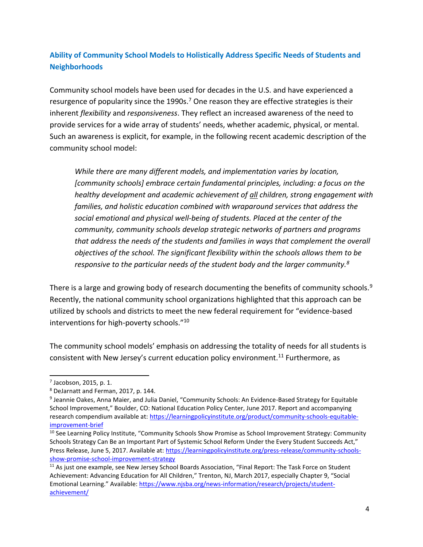# **Ability of Community School Models to Holistically Address Specific Needs of Students and Neighborhoods**

Community school models have been used for decades in the U.S. and have experienced a resurgence of popularity since the 1990s.<sup>7</sup> One reason they are effective strategies is their inherent *flexibility* and *responsiveness*. They reflect an increased awareness of the need to provide services for a wide array of students' needs, whether academic, physical, or mental. Such an awareness is explicit, for example, in the following recent academic description of the community school model:

*While there are many different models, and implementation varies by location, [community schools] embrace certain fundamental principles, including: a focus on the healthy development and academic achievement of all children, strong engagement with families, and holistic education combined with wraparound services that address the social emotional and physical well-being of students. Placed at the center of the community, community schools develop strategic networks of partners and programs that address the needs of the students and families in ways that complement the overall objectives of the school. The significant flexibility within the schools allows them to be responsive to the particular needs of the student body and the larger community.<sup>8</sup>*

There is a large and growing body of research documenting the benefits of community schools.<sup>9</sup> Recently, the national community school organizations highlighted that this approach can be utilized by schools and districts to meet the new federal requirement for "evidence-based interventions for high-poverty schools."<sup>10</sup>

The community school models' emphasis on addressing the totality of needs for all students is consistent with New Jersey's current education policy environment.<sup>11</sup> Furthermore, as

 $<sup>7</sup>$  Jacobson, 2015, p. 1.</sup>

<sup>8</sup> DeJarnatt and Ferman, 2017, p. 144.

<sup>&</sup>lt;sup>9</sup> Jeannie Oakes, Anna Maier, and Julia Daniel, "Community Schools: An Evidence-Based Strategy for Equitable School Improvement," Boulder, CO: National Education Policy Center, June 2017. Report and accompanying research compendium available at[: https://learningpolicyinstitute.org/product/community-schools-equitable](https://learningpolicyinstitute.org/product/community-schools-equitable-improvement-brief)[improvement-brief](https://learningpolicyinstitute.org/product/community-schools-equitable-improvement-brief)

<sup>&</sup>lt;sup>10</sup> See Learning Policy Institute, "Community Schools Show Promise as School Improvement Strategy: Community Schools Strategy Can Be an Important Part of Systemic School Reform Under the Every Student Succeeds Act," Press Release, June 5, 2017. Available at: [https://learningpolicyinstitute.org/press-release/community-schools](https://learningpolicyinstitute.org/press-release/community-schools-show-promise-school-improvement-strategy)[show-promise-school-improvement-strategy](https://learningpolicyinstitute.org/press-release/community-schools-show-promise-school-improvement-strategy)

<sup>&</sup>lt;sup>11</sup> As just one example, see New Jersey School Boards Association, "Final Report: The Task Force on Student Achievement: Advancing Education for All Children," Trenton, NJ, March 2017, especially Chapter 9, "Social Emotional Learning." Available: [https://www.njsba.org/news-information/research/projects/student](https://www.njsba.org/news-information/research/projects/student-achievement/)[achievement/](https://www.njsba.org/news-information/research/projects/student-achievement/)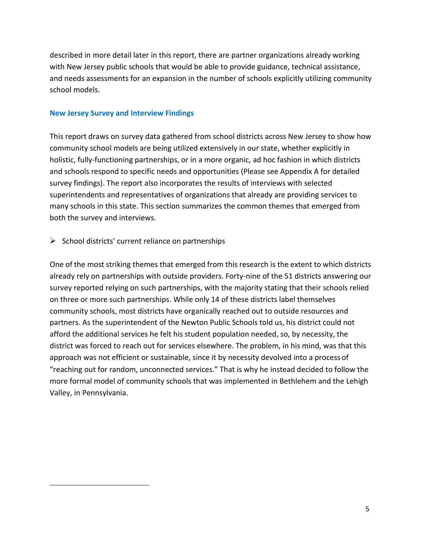described in more detail later in this report, there are partner organizations already working with New Jersey public schools that would be able to provide guidance, technical assistance, and needs assessments for an expansion in the number of schools explicitly utilizing community school models.

### **New Jersey Survey and Interview Findings**

This report draws on survey data gathered from school districts across New Jersey to show how community school models are being utilized extensively in our state, whether explicitly in holistic, fully-functioning partnerships, or in a more organic, ad hoc fashion in which districts and schools respond to specific needs and opportunities (Please see Appendix A for detailed survey findings). The report also incorporates the results of interviews with selected superintendents and representatives of organizations that already are providing services to many schools in this state. This section summarizes the common themes that emerged from both the survey and interviews.

## $\triangleright$  School districts' current reliance on partnerships

One of the most striking themes that emerged from this research is the extent to which districts already rely on partnerships with outside providers. Forty-nine of the 51 districts answering our survey reported relying on such partnerships, with the majority stating that their schools relied on three or more such partnerships. While only 14 of these districts label themselves community schools, most districts have organically reached out to outside resources and partners. As the superintendent of the Newton Public Schools told us, his district could not afford the additional services he felt his student population needed, so, by necessity, the district was forced to reach out for services elsewhere. The problem, in his mind, was that this approach was not efficient or sustainable, since it by necessity devolved into a process of "reaching out for random, unconnected services." That is why he instead decided to follow the more formal model of community schools that was implemented in Bethlehem and the Lehigh Valley, in Pennsylvania.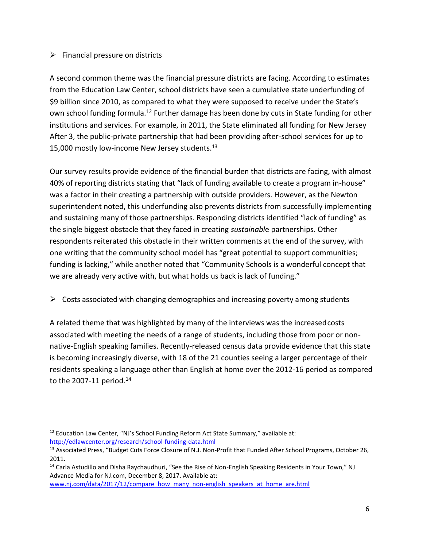## $\triangleright$  Financial pressure on districts

A second common theme was the financial pressure districts are facing. According to estimates from the Education Law Center, school districts have seen a cumulative state underfunding of \$9 billion since 2010, as compared to what they were supposed to receive under the State's own school funding formula.<sup>12</sup> Further damage has been done by cuts in State funding for other institutions and services. For example, in 2011, the State eliminated all funding for New Jersey After 3, the public-private partnership that had been providing after-school services for up to 15,000 mostly low-income New Jersey students.<sup>13</sup>

Our survey results provide evidence of the financial burden that districts are facing, with almost 40% of reporting districts stating that "lack of funding available to create a program in-house" was a factor in their creating a partnership with outside providers. However, as the Newton superintendent noted, this underfunding also prevents districts from successfully implementing and sustaining many of those partnerships. Responding districts identified "lack of funding" as the single biggest obstacle that they faced in creating *sustainabl*e partnerships. Other respondents reiterated this obstacle in their written comments at the end of the survey, with one writing that the community school model has "great potential to support communities; funding is lacking," while another noted that "Community Schools is a wonderful concept that we are already very active with, but what holds us back is lack of funding."

 $\triangleright$  Costs associated with changing demographics and increasing poverty among students

A related theme that was highlighted by many of the interviews was the increasedcosts associated with meeting the needs of a range of students, including those from poor or nonnative-English speaking families. Recently-released census data provide evidence that this state is becoming increasingly diverse, with 18 of the 21 counties seeing a larger percentage of their residents speaking a language other than English at home over the 2012-16 period as compared to the 2007-11 period. $14$ 

[www.nj.com/data/2017/12/compare\\_how\\_many\\_non-english\\_speakers\\_at\\_home\\_are.html](http://www.nj.com/data/2017/12/compare_how_many_non-english_speakers_at_home_are.html)

<sup>&</sup>lt;sup>12</sup> Education Law Center, "NJ's School Funding Reform Act State Summary," available at: <http://edlawcenter.org/research/school-funding-data.html>

<sup>&</sup>lt;sup>13</sup> Associated Press, "Budget Cuts Force Closure of N.J. Non-Profit that Funded After School Programs, October 26, 2011.

<sup>&</sup>lt;sup>14</sup> Carla Astudillo and Disha Raychaudhuri, "See the Rise of Non-English Speaking Residents in Your Town," NJ Advance Media for NJ.com, December 8, 2017. Available at: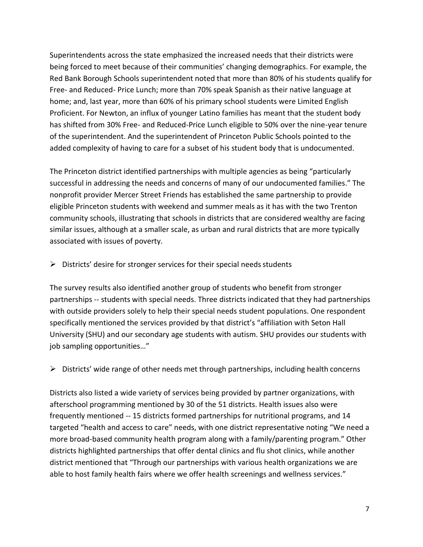Superintendents across the state emphasized the increased needs that their districts were being forced to meet because of their communities' changing demographics. For example, the Red Bank Borough Schools superintendent noted that more than 80% of his students qualify for Free- and Reduced- Price Lunch; more than 70% speak Spanish as their native language at home; and, last year, more than 60% of his primary school students were Limited English Proficient. For Newton, an influx of younger Latino families has meant that the student body has shifted from 30% Free- and Reduced-Price Lunch eligible to 50% over the nine-year tenure of the superintendent. And the superintendent of Princeton Public Schools pointed to the added complexity of having to care for a subset of his student body that is undocumented.

The Princeton district identified partnerships with multiple agencies as being "particularly successful in addressing the needs and concerns of many of our undocumented families." The nonprofit provider Mercer Street Friends has established the same partnership to provide eligible Princeton students with weekend and summer meals as it has with the two Trenton community schools, illustrating that schools in districts that are considered wealthy are facing similar issues, although at a smaller scale, as urban and rural districts that are more typically associated with issues of poverty.

 $\triangleright$  Districts' desire for stronger services for their special needs students

The survey results also identified another group of students who benefit from stronger partnerships -- students with special needs. Three districts indicated that they had partnerships with outside providers solely to help their special needs student populations. One respondent specifically mentioned the services provided by that district's "affiliation with Seton Hall University (SHU) and our secondary age students with autism. SHU provides our students with job sampling opportunities…"

 $\triangleright$  Districts' wide range of other needs met through partnerships, including health concerns

Districts also listed a wide variety of services being provided by partner organizations, with afterschool programming mentioned by 30 of the 51 districts. Health issues also were frequently mentioned -- 15 districts formed partnerships for nutritional programs, and 14 targeted "health and access to care" needs, with one district representative noting "We need a more broad-based community health program along with a family/parenting program." Other districts highlighted partnerships that offer dental clinics and flu shot clinics, while another district mentioned that "Through our partnerships with various health organizations we are able to host family health fairs where we offer health screenings and wellness services."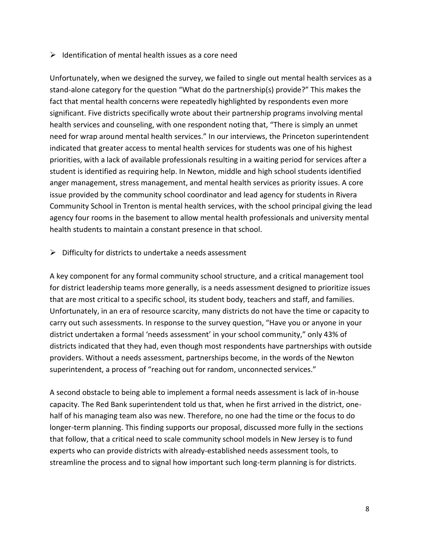### $\triangleright$  Identification of mental health issues as a core need

Unfortunately, when we designed the survey, we failed to single out mental health services as a stand-alone category for the question "What do the partnership(s) provide?" This makes the fact that mental health concerns were repeatedly highlighted by respondents even more significant. Five districts specifically wrote about their partnership programs involving mental health services and counseling, with one respondent noting that, "There is simply an unmet need for wrap around mental health services." In our interviews, the Princeton superintendent indicated that greater access to mental health services for students was one of his highest priorities, with a lack of available professionals resulting in a waiting period for services after a student is identified as requiring help. In Newton, middle and high school students identified anger management, stress management, and mental health services as priority issues. A core issue provided by the community school coordinator and lead agency for students in Rivera Community School in Trenton is mental health services, with the school principal giving the lead agency four rooms in the basement to allow mental health professionals and university mental health students to maintain a constant presence in that school.

### $\triangleright$  Difficulty for districts to undertake a needs assessment

A key component for any formal community school structure, and a critical management tool for district leadership teams more generally, is a needs assessment designed to prioritize issues that are most critical to a specific school, its student body, teachers and staff, and families. Unfortunately, in an era of resource scarcity, many districts do not have the time or capacity to carry out such assessments. In response to the survey question, "Have you or anyone in your district undertaken a formal 'needs assessment' in your school community," only 43% of districts indicated that they had, even though most respondents have partnerships with outside providers. Without a needs assessment, partnerships become, in the words of the Newton superintendent, a process of "reaching out for random, unconnected services."

A second obstacle to being able to implement a formal needs assessment is lack of in-house capacity. The Red Bank superintendent told us that, when he first arrived in the district, onehalf of his managing team also was new. Therefore, no one had the time or the focus to do longer-term planning. This finding supports our proposal, discussed more fully in the sections that follow, that a critical need to scale community school models in New Jersey is to fund experts who can provide districts with already-established needs assessment tools, to streamline the process and to signal how important such long-term planning is for districts.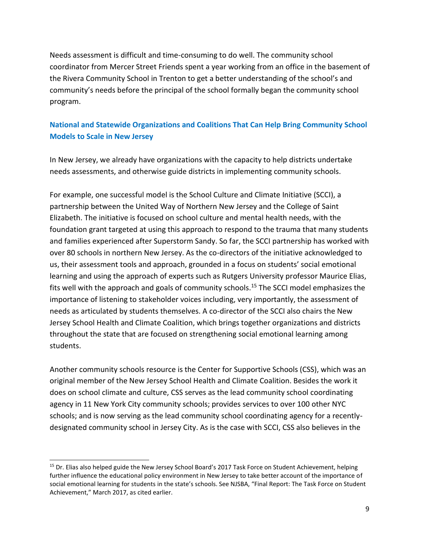Needs assessment is difficult and time-consuming to do well. The community school coordinator from Mercer Street Friends spent a year working from an office in the basement of the Rivera Community School in Trenton to get a better understanding of the school's and community's needs before the principal of the school formally began the community school program.

# **National and Statewide Organizations and Coalitions That Can Help Bring Community School Models to Scale in New Jersey**

In New Jersey, we already have organizations with the capacity to help districts undertake needs assessments, and otherwise guide districts in implementing community schools.

For example, one successful model is the School Culture and Climate Initiative (SCCI), a partnership between the United Way of Northern New Jersey and the College of Saint Elizabeth. The initiative is focused on school culture and mental health needs, with the foundation grant targeted at using this approach to respond to the trauma that many students and families experienced after Superstorm Sandy. So far, the SCCI partnership has worked with over 80 schools in northern New Jersey. As the co-directors of the initiative acknowledged to us, their assessment tools and approach, grounded in a focus on students' social emotional learning and using the approach of experts such as Rutgers University professor Maurice Elias, fits well with the approach and goals of community schools.<sup>15</sup> The SCCI model emphasizes the importance of listening to stakeholder voices including, very importantly, the assessment of needs as articulated by students themselves. A co-director of the SCCI also chairs the New Jersey School Health and Climate Coalition, which brings together organizations and districts throughout the state that are focused on strengthening social emotional learning among students.

Another community schools resource is the Center for Supportive Schools (CSS), which was an original member of the New Jersey School Health and Climate Coalition. Besides the work it does on school climate and culture, CSS serves as the lead community school coordinating agency in 11 New York City community schools; provides services to over 100 other NYC schools; and is now serving as the lead community school coordinating agency for a recentlydesignated community school in Jersey City. As is the case with SCCI, CSS also believes in the

<sup>&</sup>lt;sup>15</sup> Dr. Elias also helped guide the New Jersey School Board's 2017 Task Force on Student Achievement, helping further influence the educational policy environment in New Jersey to take better account of the importance of social emotional learning for students in the state's schools. See NJSBA, "Final Report: The Task Force on Student Achievement," March 2017, as cited earlier.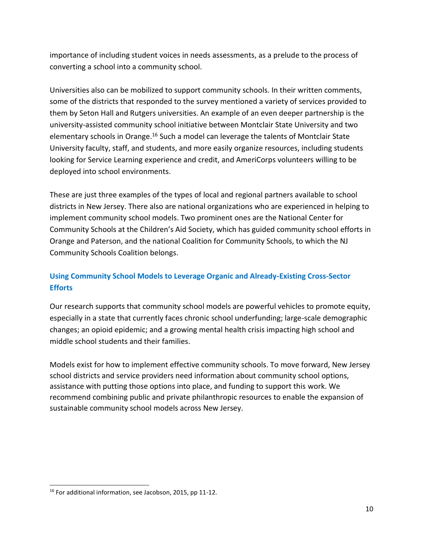importance of including student voices in needs assessments, as a prelude to the process of converting a school into a community school.

Universities also can be mobilized to support community schools. In their written comments, some of the districts that responded to the survey mentioned a variety of services provided to them by Seton Hall and Rutgers universities. An example of an even deeper partnership is the university-assisted community school initiative between Montclair State University and two elementary schools in Orange.<sup>16</sup> Such a model can leverage the talents of Montclair State University faculty, staff, and students, and more easily organize resources, including students looking for Service Learning experience and credit, and AmeriCorps volunteers willing to be deployed into school environments.

These are just three examples of the types of local and regional partners available to school districts in New Jersey. There also are national organizations who are experienced in helping to implement community school models. Two prominent ones are the National Center for Community Schools at the Children's Aid Society, which has guided community school efforts in Orange and Paterson, and the national Coalition for Community Schools, to which the NJ Community Schools Coalition belongs.

# **Using Community School Models to Leverage Organic and Already-Existing Cross-Sector Efforts**

Our research supports that community school models are powerful vehicles to promote equity, especially in a state that currently faces chronic school underfunding; large-scale demographic changes; an opioid epidemic; and a growing mental health crisis impacting high school and middle school students and their families.

Models exist for how to implement effective community schools. To move forward, New Jersey school districts and service providers need information about community school options, assistance with putting those options into place, and funding to support this work. We recommend combining public and private philanthropic resources to enable the expansion of sustainable community school models across New Jersey.

<sup>&</sup>lt;sup>16</sup> For additional information, see Jacobson, 2015, pp 11-12.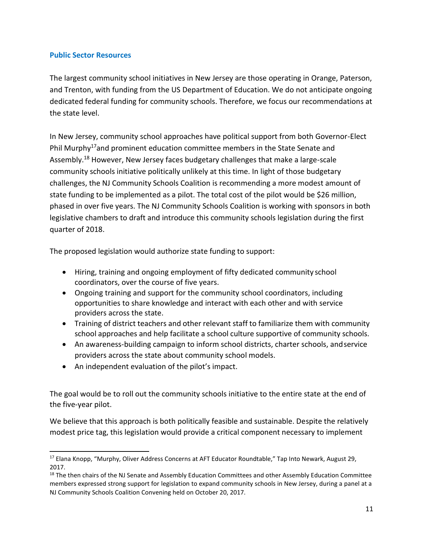### **Public Sector Resources**

The largest community school initiatives in New Jersey are those operating in Orange, Paterson, and Trenton, with funding from the US Department of Education. We do not anticipate ongoing dedicated federal funding for community schools. Therefore, we focus our recommendations at the state level.

In New Jersey, community school approaches have political support from both Governor-Elect Phil Murphy<sup>17</sup>and prominent education committee members in the State Senate and Assembly.<sup>18</sup> However, New Jersey faces budgetary challenges that make a large-scale community schools initiative politically unlikely at this time. In light of those budgetary challenges, the NJ Community Schools Coalition is recommending a more modest amount of state funding to be implemented as a pilot. The total cost of the pilot would be \$26 million, phased in over five years. The NJ Community Schools Coalition is working with sponsors in both legislative chambers to draft and introduce this community schools legislation during the first quarter of 2018.

The proposed legislation would authorize state funding to support:

- Hiring, training and ongoing employment of fifty dedicated community school coordinators, over the course of five years.
- Ongoing training and support for the community school coordinators, including opportunities to share knowledge and interact with each other and with service providers across the state.
- Training of district teachers and other relevant staff to familiarize them with community school approaches and help facilitate a school culture supportive of community schools.
- An awareness-building campaign to inform school districts, charter schools, andservice providers across the state about community school models.
- An independent evaluation of the pilot's impact.

The goal would be to roll out the community schools initiative to the entire state at the end of the five-year pilot.

We believe that this approach is both politically feasible and sustainable. Despite the relatively modest price tag, this legislation would provide a critical component necessary to implement

<sup>&</sup>lt;sup>17</sup> Elana Knopp, "Murphy, Oliver Address Concerns at AFT Educator Roundtable," Tap Into Newark, August 29, 2017.

<sup>&</sup>lt;sup>18</sup> The then chairs of the NJ Senate and Assembly Education Committees and other Assembly Education Committee members expressed strong support for legislation to expand community schools in New Jersey, during a panel at a NJ Community Schools Coalition Convening held on October 20, 2017.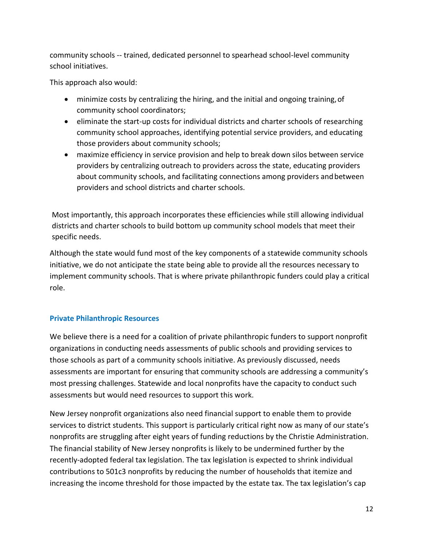community schools -- trained, dedicated personnel to spearhead school-level community school initiatives.

This approach also would:

- minimize costs by centralizing the hiring, and the initial and ongoing training, of community school coordinators;
- eliminate the start-up costs for individual districts and charter schools of researching community school approaches, identifying potential service providers, and educating those providers about community schools;
- maximize efficiency in service provision and help to break down silos between service providers by centralizing outreach to providers across the state, educating providers about community schools, and facilitating connections among providers andbetween providers and school districts and charter schools.

Most importantly, this approach incorporates these efficiencies while still allowing individual districts and charter schools to build bottom up community school models that meet their specific needs.

Although the state would fund most of the key components of a statewide community schools initiative, we do not anticipate the state being able to provide all the resources necessary to implement community schools. That is where private philanthropic funders could play a critical role.

## **Private Philanthropic Resources**

We believe there is a need for a coalition of private philanthropic funders to support nonprofit organizations in conducting needs assessments of public schools and providing services to those schools as part of a community schools initiative. As previously discussed, needs assessments are important for ensuring that community schools are addressing a community's most pressing challenges. Statewide and local nonprofits have the capacity to conduct such assessments but would need resources to support this work.

New Jersey nonprofit organizations also need financial support to enable them to provide services to district students. This support is particularly critical right now as many of our state's nonprofits are struggling after eight years of funding reductions by the Christie Administration. The financial stability of New Jersey nonprofits is likely to be undermined further by the recently-adopted federal tax legislation. The tax legislation is expected to shrink individual contributions to 501c3 nonprofits by reducing the number of households that itemize and increasing the income threshold for those impacted by the estate tax. The tax legislation's cap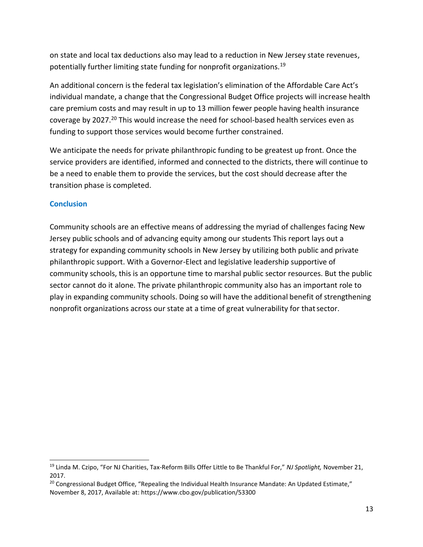on state and local tax deductions also may lead to a reduction in New Jersey state revenues, potentially further limiting state funding for nonprofit organizations.<sup>19</sup>

An additional concern is the federal tax legislation's elimination of the Affordable Care Act's individual mandate, a change that the Congressional Budget Office projects will increase health care premium costs and may result in up to 13 million fewer people having health insurance coverage by 2027.<sup>20</sup> This would increase the need for school-based health services even as funding to support those services would become further constrained.

We anticipate the needs for private philanthropic funding to be greatest up front. Once the service providers are identified, informed and connected to the districts, there will continue to be a need to enable them to provide the services, but the cost should decrease after the transition phase is completed.

## **Conclusion**

Community schools are an effective means of addressing the myriad of challenges facing New Jersey public schools and of advancing equity among our students This report lays out a strategy for expanding community schools in New Jersey by utilizing both public and private philanthropic support. With a Governor-Elect and legislative leadership supportive of community schools, this is an opportune time to marshal public sector resources. But the public sector cannot do it alone. The private philanthropic community also has an important role to play in expanding community schools. Doing so will have the additional benefit of strengthening nonprofit organizations across our state at a time of great vulnerability for thatsector.

<sup>19</sup> Linda M. Czipo, "For NJ Charities, Tax-Reform Bills Offer Little to Be Thankful For," *NJ Spotlight,* November 21, 2017.

<sup>&</sup>lt;sup>20</sup> Congressional Budget Office, "Repealing the Individual Health Insurance Mandate: An Updated Estimate," November 8, 2017, Available at: https:/[/www.cbo.gov/publication/53300](http://www.cbo.gov/publication/53300)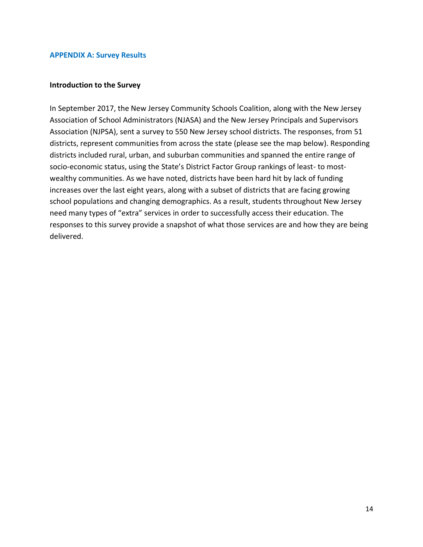#### **APPENDIX A: Survey Results**

#### **Introduction to the Survey**

In September 2017, the New Jersey Community Schools Coalition, along with the New Jersey Association of School Administrators (NJASA) and the New Jersey Principals and Supervisors Association (NJPSA), sent a survey to 550 New Jersey school districts. The responses, from 51 districts, represent communities from across the state (please see the map below). Responding districts included rural, urban, and suburban communities and spanned the entire range of socio-economic status, using the State's District Factor Group rankings of least- to mostwealthy communities. As we have noted, districts have been hard hit by lack of funding increases over the last eight years, along with a subset of districts that are facing growing school populations and changing demographics. As a result, students throughout New Jersey need many types of "extra" services in order to successfully access their education. The responses to this survey provide a snapshot of what those services are and how they are being delivered.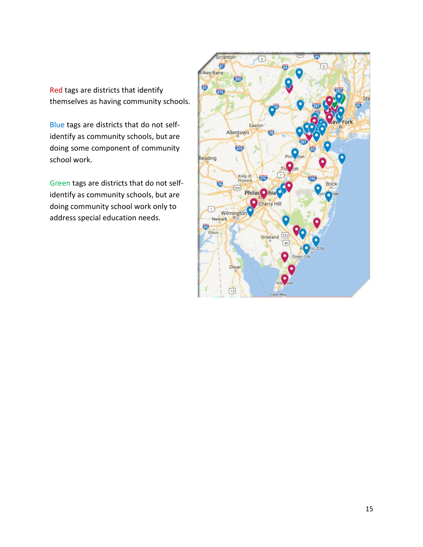Red tags are districts that identify themselves as having community schools.

Blue tags are districts that do not selfidentify as community schools, but are doing some component of community school work.

Green tags are districts that do not selfidentify as community schools, but are doing community school work only to address special education needs.

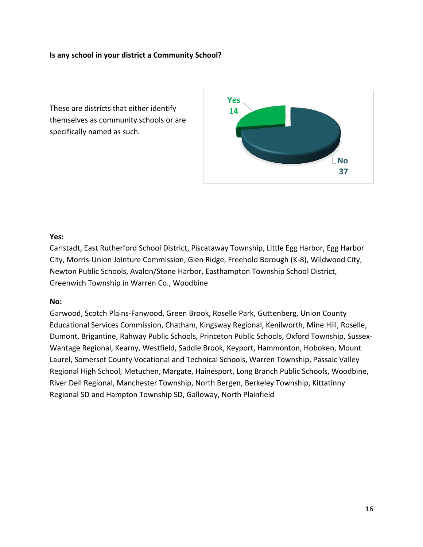## **Is any school in your district a Community School?**

These are districts that either identify themselves as community schools or are specifically named as such.



### **Yes:**

Carlstadt, East Rutherford School District, Piscataway Township, Little Egg Harbor, Egg Harbor City, Morris-Union Jointure Commission, Glen Ridge, Freehold Borough (K-8), Wildwood City, Newton Public Schools, Avalon/Stone Harbor, Easthampton Township School District, Greenwich Township in Warren Co., Woodbine

#### **No:**

Garwood, Scotch Plains-Fanwood, Green Brook, Roselle Park, Guttenberg, Union County Educational Services Commission, Chatham, Kingsway Regional, Kenilworth, Mine Hill, Roselle, Dumont, Brigantine, Rahway Public Schools, Princeton Public Schools, Oxford Township, Sussex-Wantage Regional, Kearny, Westfield, Saddle Brook, Keyport, Hammonton, Hoboken, Mount Laurel, Somerset County Vocational and Technical Schools, Warren Township, Passaic Valley Regional High School, Metuchen, Margate, Hainesport, Long Branch Public Schools, Woodbine, River Dell Regional, Manchester Township, North Bergen, Berkeley Township, Kittatinny Regional SD and Hampton Township SD, Galloway, North Plainfield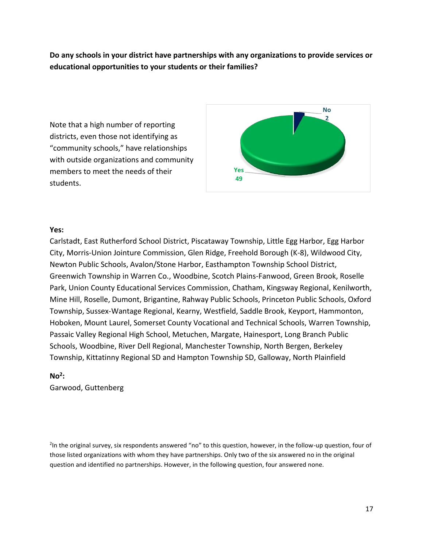**Do any schools in your district have partnerships with any organizations to provide services or educational opportunities to your students or their families?**

Note that a high number of reporting districts, even those not identifying as "community schools," have relationships with outside organizations and community members to meet the needs of their students.



#### **Yes:**

Carlstadt, East Rutherford School District, Piscataway Township, Little Egg Harbor, Egg Harbor City, Morris-Union Jointure Commission, Glen Ridge, Freehold Borough (K-8), Wildwood City, Newton Public Schools, Avalon/Stone Harbor, Easthampton Township School District, Greenwich Township in Warren Co., Woodbine, Scotch Plains-Fanwood, Green Brook, Roselle Park, Union County Educational Services Commission, Chatham, Kingsway Regional, Kenilworth, Mine Hill, Roselle, Dumont, Brigantine, Rahway Public Schools, Princeton Public Schools, Oxford Township, Sussex-Wantage Regional, Kearny, Westfield, Saddle Brook, Keyport, Hammonton, Hoboken, Mount Laurel, Somerset County Vocational and Technical Schools, Warren Township, Passaic Valley Regional High School, Metuchen, Margate, Hainesport, Long Branch Public Schools, Woodbine, River Dell Regional, Manchester Township, North Bergen, Berkeley Township, Kittatinny Regional SD and Hampton Township SD, Galloway, North Plainfield

## **No<sup>2</sup> :**

Garwood, Guttenberg

<sup>2</sup>In the original survey, six respondents answered "no" to this question, however, in the follow-up question, four of those listed organizations with whom they have partnerships. Only two of the six answered no in the original question and identified no partnerships. However, in the following question, four answered none.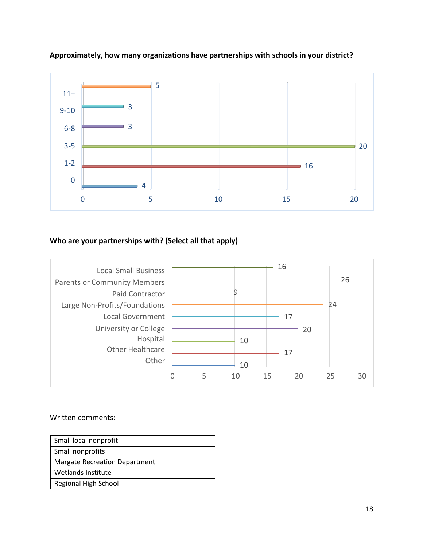

## **Approximately, how many organizations have partnerships with schools in your district?**

# **Who are your partnerships with? (Select all that apply)**



| Small local nonprofit                |
|--------------------------------------|
| Small nonprofits                     |
| <b>Margate Recreation Department</b> |
| Wetlands Institute                   |
| Regional High School                 |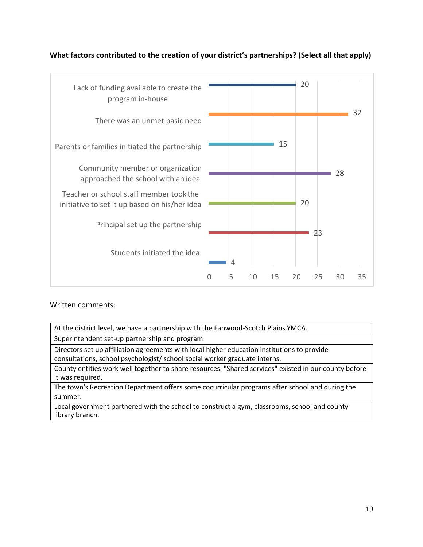

## **What factors contributed to the creation of your district's partnerships? (Select all that apply)**

Written comments:

| At the district level, we have a partnership with the Fanwood-Scotch Plains YMCA.                                         |
|---------------------------------------------------------------------------------------------------------------------------|
| Superintendent set-up partnership and program                                                                             |
| Directors set up affiliation agreements with local higher education institutions to provide                               |
| consultations, school psychologist/ school social worker graduate interns.                                                |
| County entities work well together to share resources. "Shared services" existed in our county before<br>it was required. |
| The town's Recreation Department offers some cocurricular programs after school and during the                            |
| summer.                                                                                                                   |

Local government partnered with the school to construct a gym, classrooms, school and county library branch.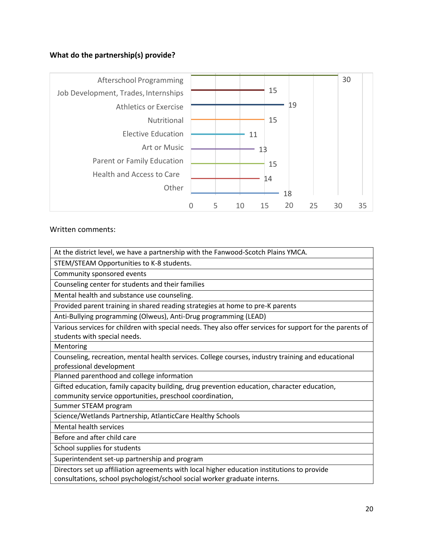# **What do the partnership(s) provide?**



| At the district level, we have a partnership with the Fanwood-Scotch Plains YMCA.                         |
|-----------------------------------------------------------------------------------------------------------|
| STEM/STEAM Opportunities to K-8 students.                                                                 |
| Community sponsored events                                                                                |
| Counseling center for students and their families                                                         |
| Mental health and substance use counseling.                                                               |
| Provided parent training in shared reading strategies at home to pre-K parents                            |
| Anti-Bullying programming (Olweus), Anti-Drug programming (LEAD)                                          |
| Various services for children with special needs. They also offer services for support for the parents of |
| students with special needs.                                                                              |
| Mentoring                                                                                                 |
| Counseling, recreation, mental health services. College courses, industry training and educational        |
| professional development                                                                                  |
| Planned parenthood and college information                                                                |
| Gifted education, family capacity building, drug prevention education, character education,               |
| community service opportunities, preschool coordination,                                                  |
| Summer STEAM program                                                                                      |
| Science/Wetlands Partnership, AtlanticCare Healthy Schools                                                |
| Mental health services                                                                                    |
| Before and after child care                                                                               |
| School supplies for students                                                                              |
| Superintendent set-up partnership and program                                                             |
| Directors set up affiliation agreements with local higher education institutions to provide               |
| consultations, school psychologist/school social worker graduate interns.                                 |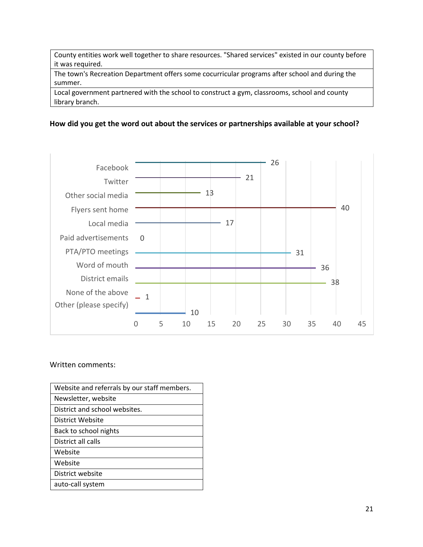County entities work well together to share resources. "Shared services" existed in our county before it was required.

The town's Recreation Department offers some cocurricular programs after school and during the summer.

Local government partnered with the school to construct a gym, classrooms, school and county library branch.

### **How did you get the word out about the services or partnerships available at your school?**



| Website and referrals by our staff members. |
|---------------------------------------------|
| Newsletter, website                         |
| District and school websites.               |
| District Website                            |
| Back to school nights                       |
| District all calls                          |
| Website                                     |
| Website                                     |
| District website                            |
| auto-call system                            |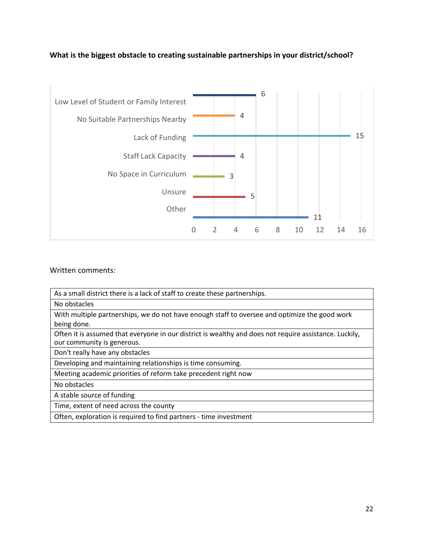# **What is the biggest obstacle to creating sustainable partnerships in your district/school?**



| As a small district there is a lack of staff to create these partnerships.                             |
|--------------------------------------------------------------------------------------------------------|
| No obstacles                                                                                           |
| With multiple partnerships, we do not have enough staff to oversee and optimize the good work          |
| being done.                                                                                            |
| Often it is assumed that everyone in our district is wealthy and does not require assistance. Luckily, |
| our community is generous.                                                                             |
| Don't really have any obstacles                                                                        |
| Developing and maintaining relationships is time consuming.                                            |
| Meeting academic priorities of reform take precedent right now                                         |
| No obstacles                                                                                           |
| A stable source of funding                                                                             |
| Time, extent of need across the county                                                                 |
| Often, exploration is required to find partners - time investment                                      |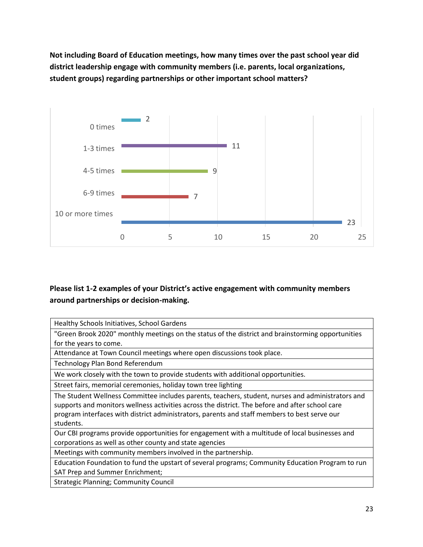**Not including Board of Education meetings, how many times over the past school year did district leadership engage with community members (i.e. parents, local organizations, student groups) regarding partnerships or other important school matters?**



# **Please list 1-2 examples of your District's active engagement with community members around partnerships or decision-making.**

| Healthy Schools Initiatives, School Gardens                                                       |
|---------------------------------------------------------------------------------------------------|
| "Green Brook 2020" monthly meetings on the status of the district and brainstorming opportunities |
| for the years to come.                                                                            |
| Attendance at Town Council meetings where open discussions took place.                            |
| Technology Plan Bond Referendum                                                                   |
| We work closely with the town to provide students with additional opportunities.                  |
| Street fairs, memorial ceremonies, holiday town tree lighting                                     |
| The Student Wellness Committee includes parents, teachers, student, nurses and administrators and |
| supports and monitors wellness activities across the district. The before and after school care   |
| program interfaces with district administrators, parents and staff members to best serve our      |
| students.                                                                                         |
| Our CBI programs provide opportunities for engagement with a multitude of local businesses and    |
| corporations as well as other county and state agencies                                           |
| Meetings with community members involved in the partnership.                                      |
| Education Foundation to fund the upstart of several programs; Community Education Program to run  |
| SAT Prep and Summer Enrichment;                                                                   |
| <b>Strategic Planning; Community Council</b>                                                      |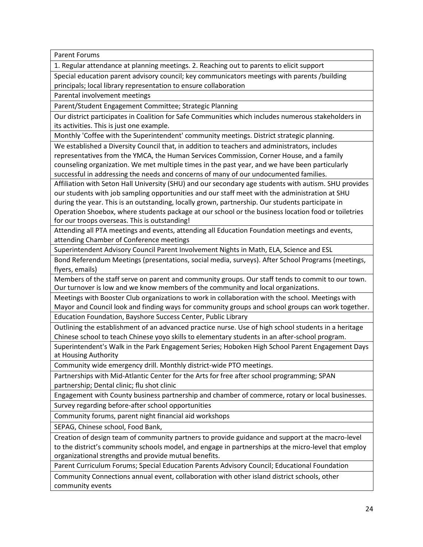Parent Forums

1. Regular attendance at planning meetings. 2. Reaching out to parents to elicit support

Special education parent advisory council; key communicators meetings with parents /building principals; local library representation to ensure collaboration

Parental involvement meetings

Parent/Student Engagement Committee; Strategic Planning

Our district participates in Coalition for Safe Communities which includes numerous stakeholders in its activities. This is just one example.

Monthly 'Coffee with the Superintendent' community meetings. District strategic planning.

We established a Diversity Council that, in addition to teachers and administrators, includes representatives from the YMCA, the Human Services Commission, Corner House, and a family counseling organization. We met multiple times in the past year, and we have been particularly successful in addressing the needs and concerns of many of our undocumented families.

Affiliation with Seton Hall University (SHU) and our secondary age students with autism. SHU provides our students with job sampling opportunities and our staff meet with the administration at SHU during the year. This is an outstanding, locally grown, partnership. Our students participate in Operation Shoebox, where students package at our school or the business location food or toiletries for our troops overseas. This is outstanding!

Attending all PTA meetings and events, attending all Education Foundation meetings and events, attending Chamber of Conference meetings

Superintendent Advisory Council Parent Involvement Nights in Math, ELA, Science and ESL

Bond Referendum Meetings (presentations, social media, surveys). After School Programs (meetings, flyers, emails)

Members of the staff serve on parent and community groups. Our staff tends to commit to our town. Our turnover is low and we know members of the community and local organizations.

Meetings with Booster Club organizations to work in collaboration with the school. Meetings with Mayor and Council look and finding ways for community groups and school groups can work together. Education Foundation, Bayshore Success Center, Public Library

Outlining the establishment of an advanced practice nurse. Use of high school students in a heritage Chinese school to teach Chinese yoyo skills to elementary students in an after-school program.

Superintendent's Walk in the Park Engagement Series; Hoboken High School Parent Engagement Days at Housing Authority

Community wide emergency drill. Monthly district-wide PTO meetings.

Partnerships with Mid-Atlantic Center for the Arts for free after school programming; SPAN partnership; Dental clinic; flu shot clinic

Engagement with County business partnership and chamber of commerce, rotary or local businesses.

Survey regarding before-after school opportunities

Community forums, parent night financial aid workshops

SEPAG, Chinese school, Food Bank,

Creation of design team of community partners to provide guidance and support at the macro-level to the district's community schools model, and engage in partnerships at the micro-level that employ organizational strengths and provide mutual benefits.

Parent Curriculum Forums; Special Education Parents Advisory Council; Educational Foundation

Community Connections annual event, collaboration with other island district schools, other community events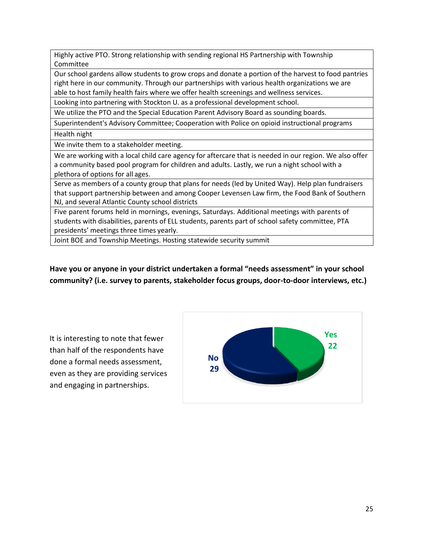Highly active PTO. Strong relationship with sending regional HS Partnership with Township Committee

Our school gardens allow students to grow crops and donate a portion of the harvest to food pantries right here in our community. Through our partnerships with various health organizations we are able to host family health fairs where we offer health screenings and wellness services.

Looking into partnering with Stockton U. as a professional development school.

We utilize the PTO and the Special Education Parent Advisory Board as sounding boards.

Superintendent's Advisory Committee; Cooperation with Police on opioid instructional programs Health night

We invite them to a stakeholder meeting.

We are working with a local child care agency for aftercare that is needed in our region. We also offer a community based pool program for children and adults. Lastly, we run a night school with a plethora of options for all ages.

Serve as members of a county group that plans for needs (led by United Way). Help plan fundraisers that support partnership between and among Cooper Levensen Law firm, the Food Bank of Southern NJ, and several Atlantic County school districts

Five parent forums held in mornings, evenings, Saturdays. Additional meetings with parents of students with disabilities, parents of ELL students, parents part of school safety committee, PTA presidents' meetings three times yearly.

Joint BOE and Township Meetings. Hosting statewide security summit

**Have you or anyone in your district undertaken a formal "needs assessment" in your school community? (i.e. survey to parents, stakeholder focus groups, door-to-door interviews, etc.)**

It is interesting to note that fewer than half of the respondents have done a formal needs assessment, even as they are providing services and engaging in partnerships.

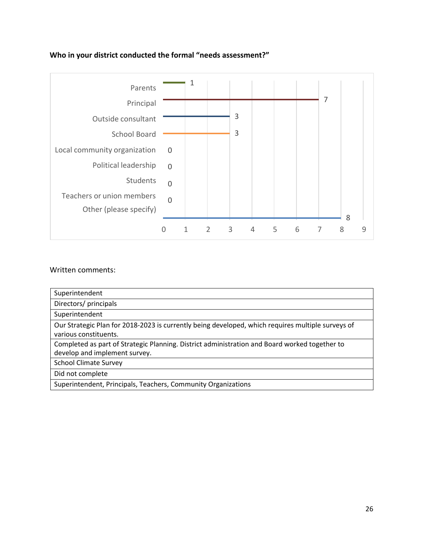# **Who in your district conducted the formal "needs assessment?"**



| Superintendent                                                                                                                 |
|--------------------------------------------------------------------------------------------------------------------------------|
| Directors/ principals                                                                                                          |
| Superintendent                                                                                                                 |
| Our Strategic Plan for 2018-2023 is currently being developed, which requires multiple surveys of<br>various constituents.     |
| Completed as part of Strategic Planning. District administration and Board worked together to<br>develop and implement survey. |
| <b>School Climate Survey</b>                                                                                                   |
| Did not complete                                                                                                               |
| Superintendent, Principals, Teachers, Community Organizations                                                                  |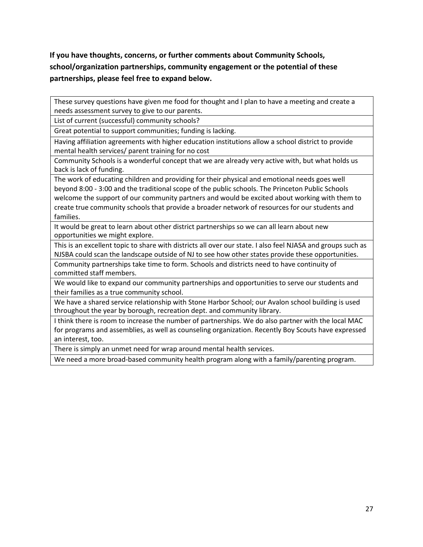**If you have thoughts, concerns, or further comments about Community Schools, school/organization partnerships, community engagement or the potential of these partnerships, please feel free to expand below.**

These survey questions have given me food for thought and I plan to have a meeting and create a needs assessment survey to give to our parents.

List of current (successful) community schools?

Great potential to support communities; funding is lacking.

Having affiliation agreements with higher education institutions allow a school district to provide mental health services/ parent training for no cost

Community Schools is a wonderful concept that we are already very active with, but what holds us back is lack of funding.

The work of educating children and providing for their physical and emotional needs goes well beyond 8:00 - 3:00 and the traditional scope of the public schools. The Princeton Public Schools welcome the support of our community partners and would be excited about working with them to create true community schools that provide a broader network of resources for our students and families.

It would be great to learn about other district partnerships so we can all learn about new opportunities we might explore.

This is an excellent topic to share with districts all over our state. I also feel NJASA and groups such as NJSBA could scan the landscape outside of NJ to see how other states provide these opportunities.

Community partnerships take time to form. Schools and districts need to have continuity of committed staff members.

We would like to expand our community partnerships and opportunities to serve our students and their families as a true community school.

We have a shared service relationship with Stone Harbor School; our Avalon school building is used throughout the year by borough, recreation dept. and community library.

I think there is room to increase the number of partnerships. We do also partner with the local MAC for programs and assemblies, as well as counseling organization. Recently Boy Scouts have expressed an interest, too.

There is simply an unmet need for wrap around mental health services.

We need a more broad-based community health program along with a family/parenting program.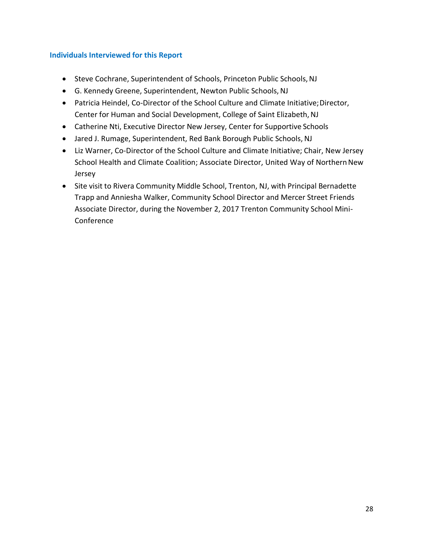## **Individuals Interviewed for this Report**

- Steve Cochrane, Superintendent of Schools, Princeton Public Schools,NJ
- G. Kennedy Greene, Superintendent, Newton Public Schools,NJ
- Patricia Heindel, Co-Director of the School Culture and Climate Initiative;Director, Center for Human and Social Development, College of Saint Elizabeth, NJ
- Catherine Nti, Executive Director New Jersey, Center for Supportive Schools
- Jared J. Rumage, Superintendent, Red Bank Borough Public Schools, NJ
- Liz Warner, Co-Director of the School Culture and Climate Initiative; Chair, New Jersey School Health and Climate Coalition; Associate Director, United Way of Northern New Jersey
- Site visit to Rivera Community Middle School, Trenton, NJ, with Principal Bernadette Trapp and Anniesha Walker, Community School Director and Mercer Street Friends Associate Director, during the November 2, 2017 Trenton Community School Mini-Conference